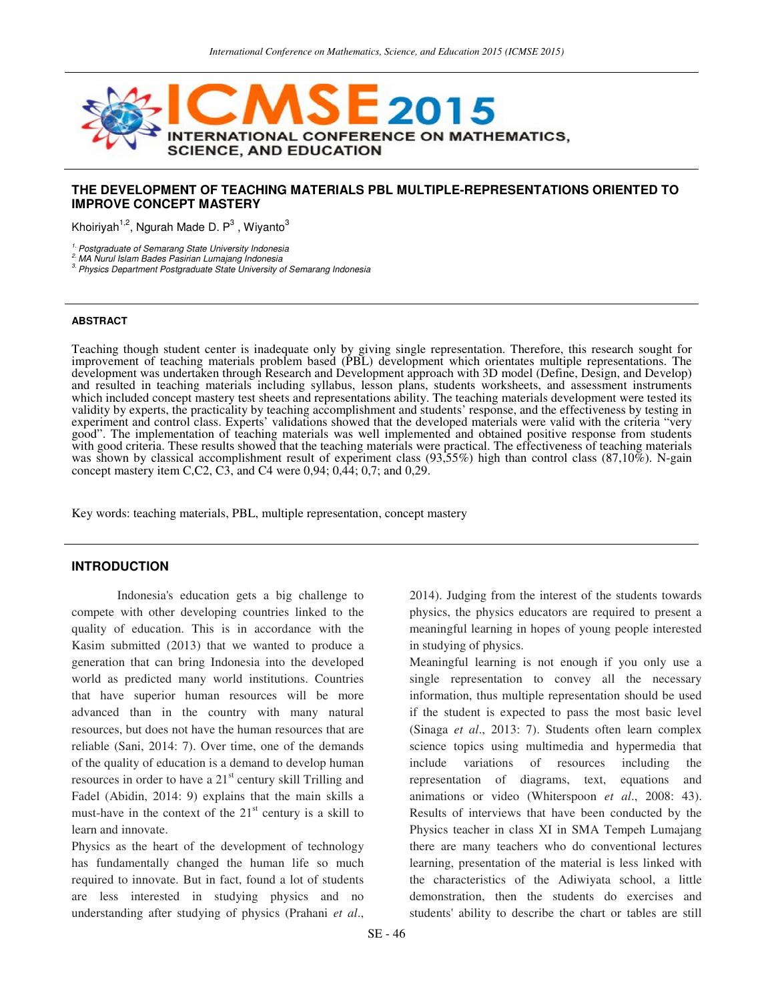

#### **THE DEVELOPMENT OF TEACHING MATERIALS PBL MULTIPLE-REPRESENTATIONS ORIENTED TO IMPROVE CONCEPT MASTERY**

Khoiriyah<sup>1,2</sup>, Ngurah Made D. P<sup>3</sup> , Wiyanto<sup>3</sup>

<sup>1.</sup> Postgraduate of Semarang State University Indonesia

2. MA Nurul Islam Bades Pasirian Lumajang Indonesia

<sup>3</sup>. Physics Department Postgraduate State University of Semarang Indonesia

#### **ABSTRACT**

Teaching though student center is inadequate only by giving single representation. Therefore, this research sought for improvement of teaching materials problem based (PBL) development which orientates multiple representations. The development was undertaken through Research and Development approach with 3D model (Define, Design, and Develop) and resulted in teaching materials including syllabus, lesson plans, students worksheets, and assessment instruments which included concept mastery test sheets and representations ability. The teaching materials development were tested its validity by experts, the practicality by teaching accomplishment and students' response, and the effectiveness by testing in experiment and control class. Experts' validations showed that the developed materials were valid with the criteria "very good". The implementation of teaching materials was well implemented and obtained positive response from students with good criteria. These results showed that the teaching materials were practical. The effectiveness of teaching materials was shown by classical accomplishment result of experiment class (93,55%) high than control class (87,10%). N-gain concept mastery item C,C2, C3, and C4 were  $0.94$ ;  $0.44$ ;  $0.7$ ; and  $0.29$ .

Key words: teaching materials, PBL, multiple representation, concept mastery

#### **INTRODUCTION**

Indonesia's education gets a big challenge to compete with other developing countries linked to the quality of education. This is in accordance with the Kasim submitted (2013) that we wanted to produce a generation that can bring Indonesia into the developed world as predicted many world institutions. Countries that have superior human resources will be more advanced than in the country with many natural resources, but does not have the human resources that are reliable (Sani, 2014: 7). Over time, one of the demands of the quality of education is a demand to develop human resources in order to have a  $21<sup>st</sup>$  century skill Trilling and Fadel (Abidin, 2014: 9) explains that the main skills a must-have in the context of the  $21<sup>st</sup>$  century is a skill to learn and innovate.

Physics as the heart of the development of technology has fundamentally changed the human life so much required to innovate. But in fact, found a lot of students are less interested in studying physics and no understanding after studying of physics (Prahani *et al*., 2014). Judging from the interest of the students towards physics, the physics educators are required to present a meaningful learning in hopes of young people interested in studying of physics.

Meaningful learning is not enough if you only use a single representation to convey all the necessary information, thus multiple representation should be used if the student is expected to pass the most basic level (Sinaga *et al*., 2013: 7). Students often learn complex science topics using multimedia and hypermedia that include variations of resources including the representation of diagrams, text, equations and animations or video (Whiterspoon *et al*., 2008: 43). Results of interviews that have been conducted by the Physics teacher in class XI in SMA Tempeh Lumajang there are many teachers who do conventional lectures learning, presentation of the material is less linked with the characteristics of the Adiwiyata school, a little demonstration, then the students do exercises and students' ability to describe the chart or tables are still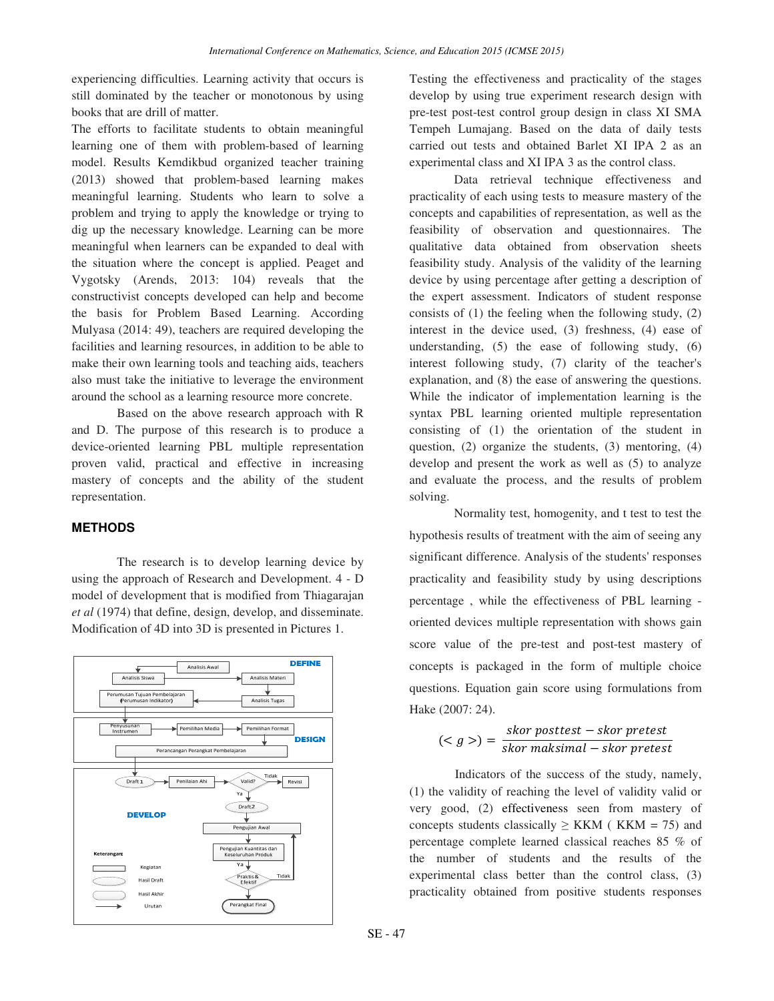experiencing difficulties. Learning activity that occurs is still dominated by the teacher or monotonous by using books that are drill of matter.

The efforts to facilitate students to obtain meaningful learning one of them with problem-based of learning model. Results Kemdikbud organized teacher training (2013) showed that problem-based learning makes meaningful learning. Students who learn to solve a problem and trying to apply the knowledge or trying to dig up the necessary knowledge. Learning can be more meaningful when learners can be expanded to deal with the situation where the concept is applied. Peaget and Vygotsky (Arends, 2013: 104) reveals that the constructivist concepts developed can help and become the basis for Problem Based Learning. According Mulyasa (2014: 49), teachers are required developing the facilities and learning resources, in addition to be able to make their own learning tools and teaching aids, teachers also must take the initiative to leverage the environment around the school as a learning resource more concrete.

Based on the above research approach with R and D. The purpose of this research is to produce a device-oriented learning PBL multiple representation proven valid, practical and effective in increasing mastery of concepts and the ability of the student representation.

#### **METHODS**

The research is to develop learning device by using the approach of Research and Development. 4 - D model of development that is modified from Thiagarajan *et al* (1974) that define, design, develop, and disseminate. Modification of 4D into 3D is presented in Pictures 1.



Testing the effectiveness and practicality of the stages develop by using true experiment research design with pre-test post-test control group design in class XI SMA Tempeh Lumajang. Based on the data of daily tests carried out tests and obtained Barlet XI IPA 2 as an experimental class and XI IPA 3 as the control class.

Data retrieval technique effectiveness and practicality of each using tests to measure mastery of the concepts and capabilities of representation, as well as the feasibility of observation and questionnaires. The qualitative data obtained from observation sheets feasibility study. Analysis of the validity of the learning device by using percentage after getting a description of the expert assessment. Indicators of student response consists of (1) the feeling when the following study, (2) interest in the device used, (3) freshness, (4) ease of understanding, (5) the ease of following study, (6) interest following study, (7) clarity of the teacher's explanation, and (8) the ease of answering the questions. While the indicator of implementation learning is the syntax PBL learning oriented multiple representation consisting of (1) the orientation of the student in question,  $(2)$  organize the students,  $(3)$  mentoring,  $(4)$ develop and present the work as well as (5) to analyze and evaluate the process, and the results of problem solving.

Normality test, homogenity, and t test to test the hypothesis results of treatment with the aim of seeing any significant difference. Analysis of the students' responses practicality and feasibility study by using descriptions percentage , while the effectiveness of PBL learning oriented devices multiple representation with shows gain score value of the pre-test and post-test mastery of concepts is packaged in the form of multiple choice questions. Equation gain score using formulations from Hake (2007: 24).

$$
()=\frac{skor\ posttest - skor\ pretest}{skor\ maksimal - skor\ pretest}
$$

Indicators of the success of the study, namely, (1) the validity of reaching the level of validity valid or very good, (2) effectiveness seen from mastery of concepts students classically  $\geq$  KKM (KKM = 75) and percentage complete learned classical reaches 85 % of the number of students and the results of the experimental class better than the control class, (3) practicality obtained from positive students responses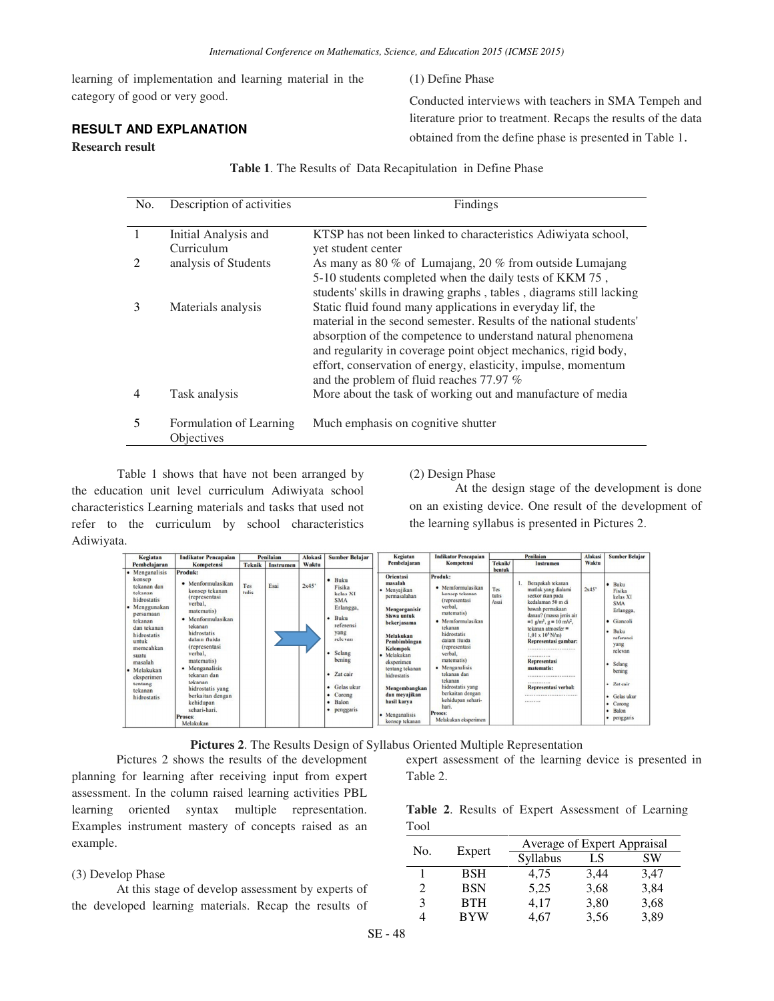learning of implementation and learning material in the category of good or very good.

# **RESULT AND EXPLANATION**

### **Research result**

(1) Define Phase

Conducted interviews with teachers in SMA Tempeh and literature prior to treatment. Recaps the results of the data obtained from the define phase is presented in Table 1.

|  |  |  |  |  | <b>Table 1.</b> The Results of Data Recapitulation in Define Phase |  |  |  |
|--|--|--|--|--|--------------------------------------------------------------------|--|--|--|
|--|--|--|--|--|--------------------------------------------------------------------|--|--|--|

| No.                         | Description of activities             | Findings                                                                                                                                                                                                                                                                                                                                                                       |
|-----------------------------|---------------------------------------|--------------------------------------------------------------------------------------------------------------------------------------------------------------------------------------------------------------------------------------------------------------------------------------------------------------------------------------------------------------------------------|
| $\mathbf{1}$                | Initial Analysis and<br>Curriculum    | KTSP has not been linked to characteristics Adiwiyata school,<br>yet student center                                                                                                                                                                                                                                                                                            |
| $\mathcal{D}_{\mathcal{L}}$ | analysis of Students                  | As many as 80 % of Lumajang, 20 % from outside Lumajang<br>5-10 students completed when the daily tests of KKM 75,<br>students' skills in drawing graphs, tables, diagrams still lacking                                                                                                                                                                                       |
| 3                           | Materials analysis                    | Static fluid found many applications in everyday lif, the<br>material in the second semester. Results of the national students'<br>absorption of the competence to understand natural phenomena<br>and regularity in coverage point object mechanics, rigid body,<br>effort, conservation of energy, elasticity, impulse, momentum<br>and the problem of fluid reaches 77.97 % |
| 4                           | Task analysis                         | More about the task of working out and manufacture of media                                                                                                                                                                                                                                                                                                                    |
| 5                           | Formulation of Learning<br>Objectives | Much emphasis on cognitive shutter                                                                                                                                                                                                                                                                                                                                             |

Table 1 shows that have not been arranged by the education unit level curriculum Adiwiyata school characteristics Learning materials and tasks that used not refer to the curriculum by school characteristics Adiwiyata.

(2) Design Phase

At the design stage of the development is done on an existing device. One result of the development of the learning syllabus is presented in Pictures 2.

| Kegiatan                                                                                                                                                                                                                                         | <b>Indikator Pencapaian</b>                                                                                                                                                                                                                                                                                                                                    |                                   | Penilaian | <b>Alokasi</b> | <b>Sumber Belajar</b>                                                                                                                                                                              | Kegiatan                                                                                                                                                                                                                                                                                                     | <b>Indikator Pencapaian</b>                                                                                                                                                                                                                                                                                                                            |                                 | Penilaian                                                                                                                                                                                                                                                                                                                                                                                                                | <b>Alokasi</b> | <b>Sumber Belajar</b>                                                                                                                                                                                    |
|--------------------------------------------------------------------------------------------------------------------------------------------------------------------------------------------------------------------------------------------------|----------------------------------------------------------------------------------------------------------------------------------------------------------------------------------------------------------------------------------------------------------------------------------------------------------------------------------------------------------------|-----------------------------------|-----------|----------------|----------------------------------------------------------------------------------------------------------------------------------------------------------------------------------------------------|--------------------------------------------------------------------------------------------------------------------------------------------------------------------------------------------------------------------------------------------------------------------------------------------------------------|--------------------------------------------------------------------------------------------------------------------------------------------------------------------------------------------------------------------------------------------------------------------------------------------------------------------------------------------------------|---------------------------------|--------------------------------------------------------------------------------------------------------------------------------------------------------------------------------------------------------------------------------------------------------------------------------------------------------------------------------------------------------------------------------------------------------------------------|----------------|----------------------------------------------------------------------------------------------------------------------------------------------------------------------------------------------------------|
| Pembelajaran                                                                                                                                                                                                                                     | <b>Kompetensi</b>                                                                                                                                                                                                                                                                                                                                              | <b>Teknik</b><br><b>Instrumen</b> |           | Waktu          | Pembelajaran                                                                                                                                                                                       | Kompetensi                                                                                                                                                                                                                                                                                                   | Teknik/                                                                                                                                                                                                                                                                                                                                                | Instrumen                       | Waktu                                                                                                                                                                                                                                                                                                                                                                                                                    |                |                                                                                                                                                                                                          |
| Menganalisis<br>konsep<br>tekanan dan<br>tekanan<br>hidrostatis<br>• Menggunakan<br>persamaan<br>tekanan<br>dan tekanan<br>hidrostatis<br>untuk<br>memcahkan<br>suatu<br>masalah<br>Melakukan<br>eksperimen<br>tentang<br>tekanan<br>hidrostatis | Produk:<br>Menformulasikan<br>konsep tekanan<br><i>(representasi</i><br>verbal,<br>matematis)<br>$\bullet$ Menformulasikan<br>tekanan<br>hidrostatis<br>dalam fluida<br><i>(representasi</i><br>verbal.<br>matematis)<br>• Menganalisis<br>tekanan dan<br>tekanan<br>hidrostatis yang<br>berkaitan dengan<br>kehidupan<br>sehari-hari.<br>Proses:<br>Melakukan | Tes<br>tulis                      | Esai      | 2x45'          | $\bullet$ Buku<br>Fisika<br>kelas XI<br><b>SMA</b><br>Erlangga,<br>$-Buku$<br>referensi<br>yang<br>relevan<br>Selang<br>bening<br>• Zat cair<br>• Gelas ukur<br>• Corong<br>· Balon<br>• penggaris | <b>Orientasi</b><br>masalah<br>• Menyajikan<br>permasalahan<br>Mengorganisir<br>Siswa untuk<br>bekerjasama<br>Melakukan<br>Pembimbingan<br><b>Kelompok</b><br>Melakukan<br>eksperimen<br>tentang tekanan<br>hidrostatis<br>Mengembangkan<br>dan mevajikan<br>hasil karya<br>• Menganalisis<br>konsep tekanan | Produk:<br>· Memformulasikan<br>konsep tekanan<br>(representasi<br>verbal,<br>matematis)<br>• Memformulasikan<br>tekanan<br>hidrostatis<br>dalam fluida<br>(representasi<br>verbal.<br>matematis)<br>• Menganalisis<br>tekanan dan<br>tekanan<br>hidrostatis yang<br>berkaitan dengan<br>kehidupan sehari-<br>hari.<br>Proses:<br>Melakukan eksperimen | bentuk<br>Tes<br>tulis<br>/esai | Berapakah tekanan<br>mutlak yang dialami<br>seekor ikan pada<br>kedalaman 50 m di<br>bawah permukaan<br>danau? (massa jenis air<br>$=1$ g/m <sup>3</sup> , g = 10 m/s <sup>2</sup> ,<br>tekanan atmosfer $=$<br>$1.01 \times 10^5$ N/m)<br>Representasi gambar:<br><br><b>*************</b><br><b>Representasi</b><br>matematis:<br>,,,,,,,,,,,,,,,,,,,,,,,,,,,,<br><b>*************</b><br>Representasi verbal:<br><br> | 2x45'          | Buku<br>Fisika<br>kelas XI<br><b>SMA</b><br>Erlangga,<br>· Giancoli<br><b>Buku</b><br>referensi<br>yang<br>relevan<br>Selang<br>bening<br>Zat cair<br>· Gelas ukur<br>• Corong<br>• Balon<br>• penggaris |



Pictures 2 shows the results of the development planning for learning after receiving input from expert assessment. In the column raised learning activities PBL learning oriented syntax multiple representation. Examples instrument mastery of concepts raised as an example.

## (3) Develop Phase

At this stage of develop assessment by experts of the developed learning materials. Recap the results of

expert assessment of the learning device is presented in Table 2.

|      |  |  | Table 2. Results of Expert Assessment of Learning |  |
|------|--|--|---------------------------------------------------|--|
| Tool |  |  |                                                   |  |

| No.            | Expert     | Average of Expert Appraisal |      |      |  |  |  |
|----------------|------------|-----------------------------|------|------|--|--|--|
|                |            | Syllabus                    | LS   | SW   |  |  |  |
|                | <b>BSH</b> | 4.75                        | 3,44 | 3,47 |  |  |  |
| $\mathfrak{D}$ | <b>BSN</b> | 5,25                        | 3,68 | 3,84 |  |  |  |
| 3              | <b>BTH</b> | 4.17                        | 3,80 | 3,68 |  |  |  |
|                | <b>BYW</b> | 4.67                        | 3,56 | 3,89 |  |  |  |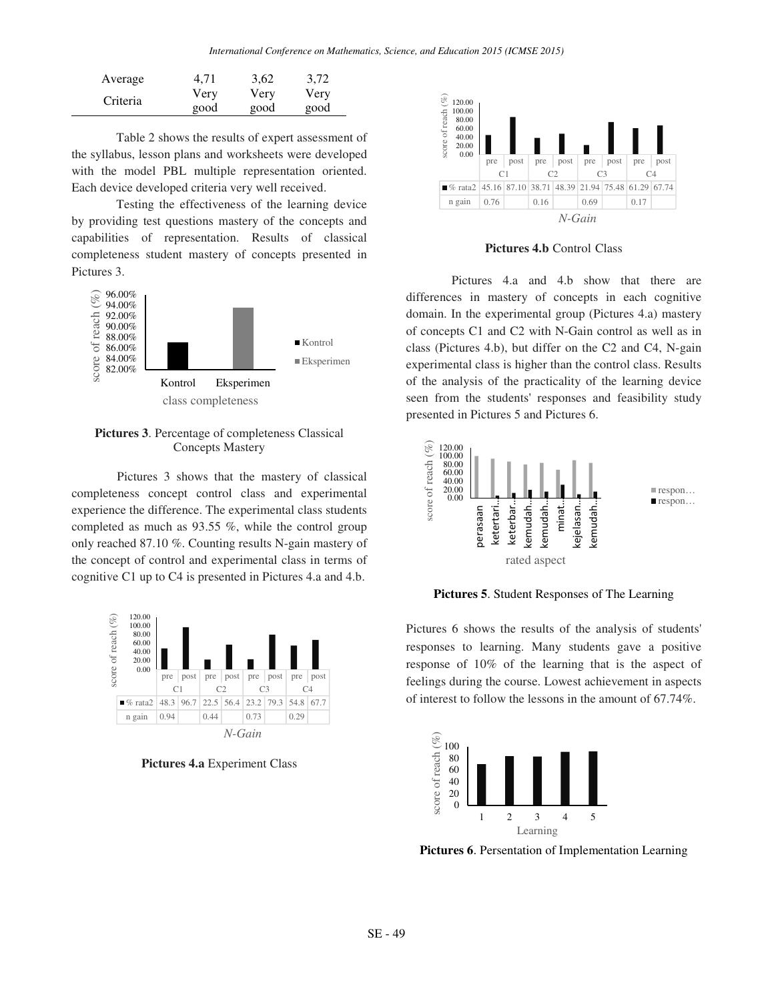| Average  | 4.71 | 3,62 | 3,72 |
|----------|------|------|------|
| Criteria | Very | Very | Very |
|          | good | good | good |

Table 2 shows the results of expert assessment of the syllabus, lesson plans and worksheets were developed with the model PBL multiple representation oriented. Each device developed criteria very well received.

Testing the effectiveness of the learning device by providing test questions mastery of the concepts and capabilities of representation. Results of classical completeness student mastery of concepts presented in Pictures 3.



**Pictures 3**. Percentage of completeness Classical Concepts Mastery

Pictures 3 shows that the mastery of classical completeness concept control class and experimental experience the difference. The experimental class students completed as much as 93.55 %, while the control group only reached 87.10 %. Counting results N-gain mastery of the concept of control and experimental class in terms of cognitive C1 up to C4 is presented in Pictures 4.a and 4.b.



**Pictures 4.a** Experiment Class



**Pictures 4.b** Control Class

Pictures 4.a and 4.b show that there are differences in mastery of concepts in each cognitive domain. In the experimental group (Pictures 4.a) mastery of concepts C1 and C2 with N-Gain control as well as in class (Pictures 4.b), but differ on the C2 and C4, N-gain experimental class is higher than the control class. Results of the analysis of the practicality of the learning device seen from the students' responses and feasibility study presented in Pictures 5 and Pictures 6.



**Pictures 5**. Student Responses of The Learning

Pictures 6 shows the results of the analysis of students' responses to learning. Many students gave a positive response of 10% of the learning that is the aspect of feelings during the course. Lowest achievement in aspects of interest to follow the lessons in the amount of 67.74%.



**Pictures 6**. Persentation of Implementation Learning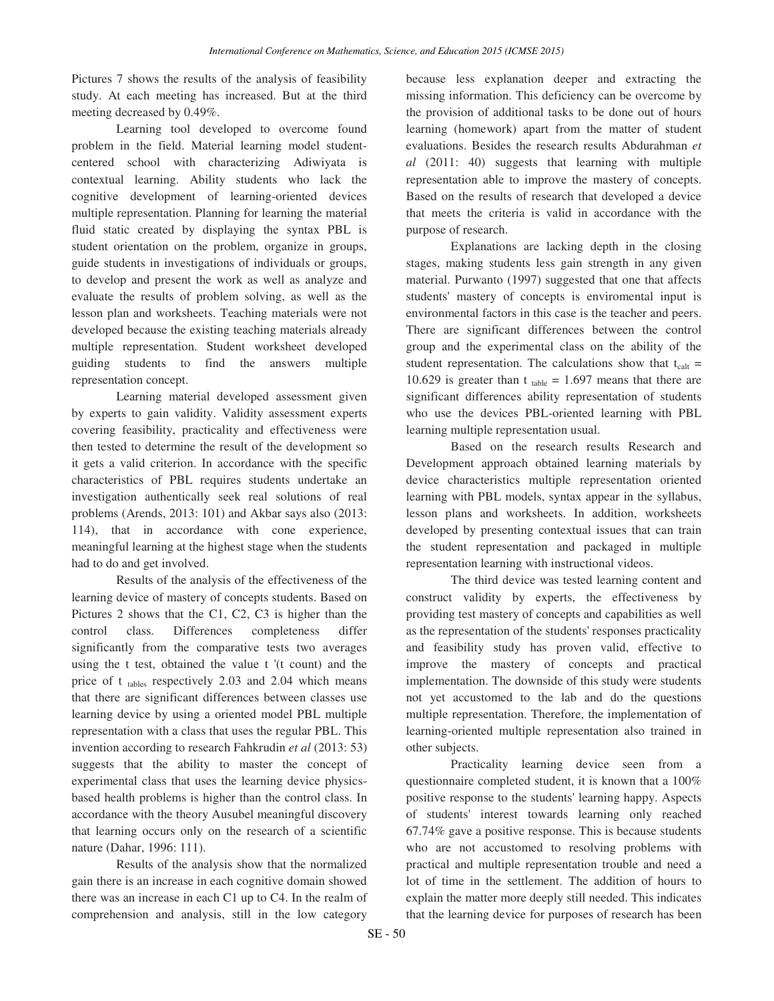Pictures 7 shows the results of the analysis of feasibility study. At each meeting has increased. But at the third meeting decreased by 0.49%.

Learning tool developed to overcome found problem in the field. Material learning model studentcentered school with characterizing Adiwiyata is contextual learning. Ability students who lack the cognitive development of learning-oriented devices multiple representation. Planning for learning the material fluid static created by displaying the syntax PBL is student orientation on the problem, organize in groups, guide students in investigations of individuals or groups, to develop and present the work as well as analyze and evaluate the results of problem solving, as well as the lesson plan and worksheets. Teaching materials were not developed because the existing teaching materials already multiple representation. Student worksheet developed guiding students to find the answers multiple representation concept.

Learning material developed assessment given by experts to gain validity. Validity assessment experts covering feasibility, practicality and effectiveness were then tested to determine the result of the development so it gets a valid criterion. In accordance with the specific characteristics of PBL requires students undertake an investigation authentically seek real solutions of real problems (Arends, 2013: 101) and Akbar says also (2013: 114), that in accordance with cone experience, meaningful learning at the highest stage when the students had to do and get involved.

Results of the analysis of the effectiveness of the learning device of mastery of concepts students. Based on Pictures 2 shows that the C1, C2, C3 is higher than the control class. Differences completeness differ significantly from the comparative tests two averages using the t test, obtained the value t '(t count) and the price of  $t_{\text{tables}}$  respectively 2.03 and 2.04 which means that there are significant differences between classes use learning device by using a oriented model PBL multiple representation with a class that uses the regular PBL. This invention according to research Fahkrudin *et al* (2013: 53) suggests that the ability to master the concept of experimental class that uses the learning device physicsbased health problems is higher than the control class. In accordance with the theory Ausubel meaningful discovery that learning occurs only on the research of a scientific nature (Dahar, 1996: 111).

Results of the analysis show that the normalized gain there is an increase in each cognitive domain showed there was an increase in each C1 up to C4. In the realm of comprehension and analysis, still in the low category

because less explanation deeper and extracting the missing information. This deficiency can be overcome by the provision of additional tasks to be done out of hours learning (homework) apart from the matter of student evaluations. Besides the research results Abdurahman *et al* (2011: 40) suggests that learning with multiple representation able to improve the mastery of concepts. Based on the results of research that developed a device that meets the criteria is valid in accordance with the purpose of research.

Explanations are lacking depth in the closing stages, making students less gain strength in any given material. Purwanto (1997) suggested that one that affects students' mastery of concepts is enviromental input is environmental factors in this case is the teacher and peers. There are significant differences between the control group and the experimental class on the ability of the student representation. The calculations show that  $t_{cal}$  = 10.629 is greater than t  $_{table} = 1.697$  means that there are significant differences ability representation of students who use the devices PBL-oriented learning with PBL learning multiple representation usual.

Based on the research results Research and Development approach obtained learning materials by device characteristics multiple representation oriented learning with PBL models, syntax appear in the syllabus, lesson plans and worksheets. In addition, worksheets developed by presenting contextual issues that can train the student representation and packaged in multiple representation learning with instructional videos.

The third device was tested learning content and construct validity by experts, the effectiveness by providing test mastery of concepts and capabilities as well as the representation of the students' responses practicality and feasibility study has proven valid, effective to improve the mastery of concepts and practical implementation. The downside of this study were students not yet accustomed to the lab and do the questions multiple representation. Therefore, the implementation of learning-oriented multiple representation also trained in other subjects.

Practicality learning device seen from a questionnaire completed student, it is known that a 100% positive response to the students' learning happy. Aspects of students' interest towards learning only reached 67.74% gave a positive response. This is because students who are not accustomed to resolving problems with practical and multiple representation trouble and need a lot of time in the settlement. The addition of hours to explain the matter more deeply still needed. This indicates that the learning device for purposes of research has been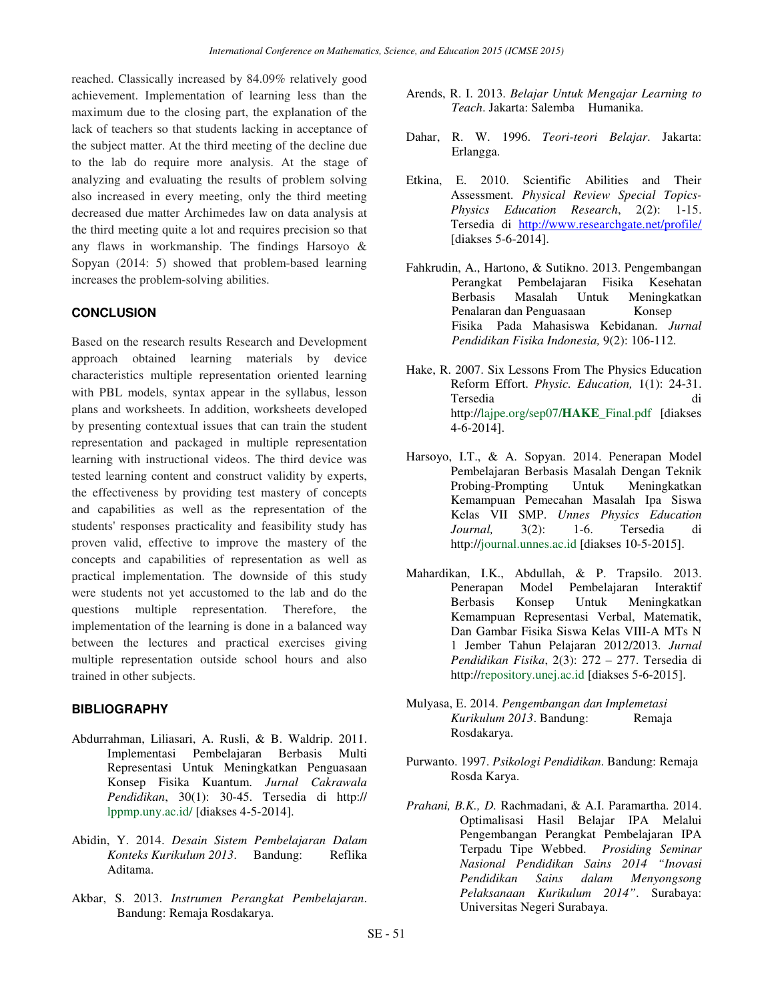reached. Classically increased by 84.09% relatively good achievement. Implementation of learning less than the maximum due to the closing part, the explanation of the lack of teachers so that students lacking in acceptance of the subject matter. At the third meeting of the decline due to the lab do require more analysis. At the stage of analyzing and evaluating the results of problem solving also increased in every meeting, only the third meeting decreased due matter Archimedes law on data analysis at the third meeting quite a lot and requires precision so that any flaws in workmanship. The findings Harsoyo & Sopyan (2014: 5) showed that problem-based learning increases the problem-solving abilities.

# **CONCLUSION**

Based on the research results Research and Development approach obtained learning materials by device characteristics multiple representation oriented learning with PBL models, syntax appear in the syllabus, lesson plans and worksheets. In addition, worksheets developed by presenting contextual issues that can train the student representation and packaged in multiple representation learning with instructional videos. The third device was tested learning content and construct validity by experts, the effectiveness by providing test mastery of concepts and capabilities as well as the representation of the students' responses practicality and feasibility study has proven valid, effective to improve the mastery of the concepts and capabilities of representation as well as practical implementation. The downside of this study were students not yet accustomed to the lab and do the questions multiple representation. Therefore, the implementation of the learning is done in a balanced way between the lectures and practical exercises giving multiple representation outside school hours and also trained in other subjects.

## **BIBLIOGRAPHY**

- Abdurrahman, Liliasari, A. Rusli, & B. Waldrip. 2011. Implementasi Pembelajaran Berbasis Multi Representasi Untuk Meningkatkan Penguasaan Konsep Fisika Kuantum. *Jurnal Cakrawala Pendidikan*, 30(1): 30-45. Tersedia di http:// lppmp.uny.ac.id/ [diakses 4-5-2014].
- Abidin, Y. 2014. *Desain Sistem Pembelajaran Dalam Konteks Kurikulum 2013*. Bandung: Reflika Aditama.
- Akbar, S. 2013. *Instrumen Perangkat Pembelajaran*. Bandung: Remaja Rosdakarya.
- Arends, R. I. 2013. *Belajar Untuk Mengajar Learning to Teach*. Jakarta: Salemba Humanika.
- Dahar, R. W. 1996. *Teori-teori Belajar*. Jakarta: Erlangga.
- Etkina, E. 2010. Scientific Abilities and Their Assessment. *Physical Review Special Topics-Physics Education Research*, 2(2): 1-15. Tersedia di http://www.researchgate.net/profile/ [diakses 5-6-2014].
- Fahkrudin, A., Hartono, & Sutikno. 2013. Pengembangan Perangkat Pembelajaran Fisika Kesehatan Berbasis Masalah Untuk Meningkatkan Penalaran dan Penguasaan Konsep Fisika Pada Mahasiswa Kebidanan. *Jurnal Pendidikan Fisika Indonesia,* 9(2): 106-112.
- Hake, R. 2007. Six Lessons From The Physics Education Reform Effort. *Physic. Education,* 1(1): 24-31. Tersedia di http://lajpe.org/sep07/**HAKE**\_Final.pdf [diakses 4-6-2014].
- Harsoyo, I.T., & A. Sopyan. 2014. Penerapan Model Pembelajaran Berbasis Masalah Dengan Teknik Probing-Prompting Untuk Meningkatkan Kemampuan Pemecahan Masalah Ipa Siswa Kelas VII SMP. *Unnes Physics Education Journal,* 3(2): 1-6. Tersedia di http://journal.unnes.ac.id [diakses 10-5-2015].
- Mahardikan, I.K., Abdullah, & P. Trapsilo. 2013. Penerapan Model Pembelajaran Interaktif Berbasis Konsep Untuk Meningkatkan Kemampuan Representasi Verbal, Matematik, Dan Gambar Fisika Siswa Kelas VIII-A MTs N 1 Jember Tahun Pelajaran 2012/2013. *Jurnal Pendidikan Fisika*, 2(3): 272 – 277. Tersedia di http://repository.unej.ac.id [diakses 5-6-2015].
- Mulyasa, E. 2014. *Pengembangan dan Implemetasi Kurikulum 2013*. Bandung: Remaja Rosdakarya.
- Purwanto. 1997. *Psikologi Pendidikan*. Bandung: Remaja Rosda Karya.
- *Prahani, B.K., D.* Rachmadani, & A.I. Paramartha. 2014. Optimalisasi Hasil Belajar IPA Melalui Pengembangan Perangkat Pembelajaran IPA Terpadu Tipe Webbed. *Prosiding Seminar Nasional Pendidikan Sains 2014 "Inovasi Pendidikan Sains dalam Menyongsong Pelaksanaan Kurikulum 2014"*. Surabaya: Universitas Negeri Surabaya.